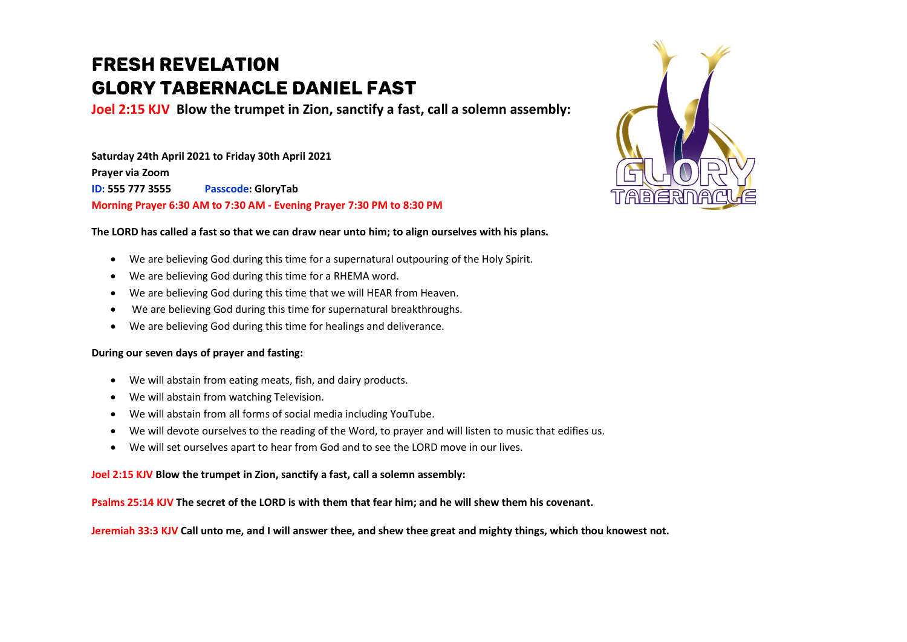## **FRESH REVELATION GLORY TABERNACLE DANIEL FAST**

Joel 2:15 KJV Blow the trumpet in Zion, sanctify a fast, call a solemn assembly:

Saturday 24th April 2021 to Friday 30th April 2021 Prayer via Zoom ID: 555 777 3555 Passcode: GloryTab Morning Prayer 6:30 AM to 7:30 AM - Evening Prayer 7:30 PM to 8:30 PM



- We are believing God during this time for a supernatural outpouring of the Holy Spirit.
- We are believing God during this time for a RHEMA word.
- We are believing God during this time that we will HEAR from Heaven.
- We are believing God during this time for supernatural breakthroughs.
- We are believing God during this time for healings and deliverance.

## During our seven days of prayer and fasting:

- We will abstain from eating meats, fish, and dairy products.
- We will abstain from watching Television.
- We will abstain from all forms of social media including YouTube.
- We will devote ourselves to the reading of the Word, to prayer and will listen to music that edifies us.
- We will set ourselves apart to hear from God and to see the LORD move in our lives.

## Joel 2:15 KJV Blow the trumpet in Zion, sanctify a fast, call a solemn assembly:

Psalms 25:14 KJV The secret of the LORD is with them that fear him; and he will shew them his covenant.

Jeremiah 33:3 KJV Call unto me, and I will answer thee, and shew thee great and mighty things, which thou knowest not.

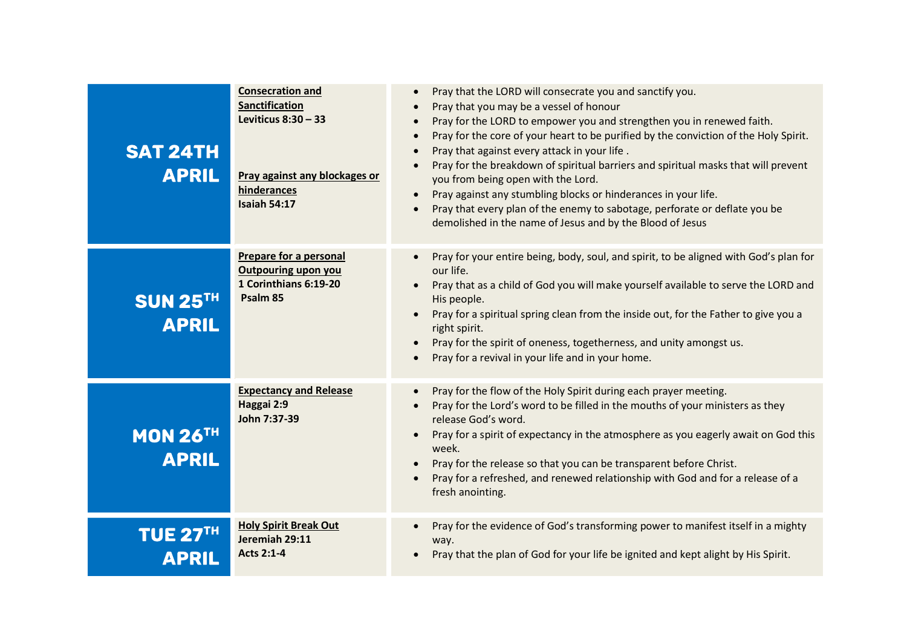| <b>SAT 24TH</b><br><b>APRIL</b> | <b>Consecration and</b><br>Sanctification<br>Leviticus $8:30 - 33$<br>Pray against any blockages or<br>hinderances<br><b>Isaiah 54:17</b> | Pray that the LORD will consecrate you and sanctify you.<br>Pray that you may be a vessel of honour<br>Pray for the LORD to empower you and strengthen you in renewed faith.<br>$\bullet$<br>Pray for the core of your heart to be purified by the conviction of the Holy Spirit.<br>$\bullet$<br>Pray that against every attack in your life.<br>$\bullet$<br>Pray for the breakdown of spiritual barriers and spiritual masks that will prevent<br>you from being open with the Lord.<br>Pray against any stumbling blocks or hinderances in your life.<br>Pray that every plan of the enemy to sabotage, perforate or deflate you be<br>demolished in the name of Jesus and by the Blood of Jesus |
|---------------------------------|-------------------------------------------------------------------------------------------------------------------------------------------|------------------------------------------------------------------------------------------------------------------------------------------------------------------------------------------------------------------------------------------------------------------------------------------------------------------------------------------------------------------------------------------------------------------------------------------------------------------------------------------------------------------------------------------------------------------------------------------------------------------------------------------------------------------------------------------------------|
| <b>SUN 25TH</b><br><b>APRIL</b> | Prepare for a personal<br><b>Outpouring upon you</b><br>1 Corinthians 6:19-20<br>Psalm 85                                                 | Pray for your entire being, body, soul, and spirit, to be aligned with God's plan for<br>$\bullet$<br>our life.<br>Pray that as a child of God you will make yourself available to serve the LORD and<br>His people.<br>Pray for a spiritual spring clean from the inside out, for the Father to give you a<br>right spirit.<br>Pray for the spirit of oneness, togetherness, and unity amongst us.<br>Pray for a revival in your life and in your home.                                                                                                                                                                                                                                             |
| <b>MON 26TH</b><br><b>APRIL</b> | <b>Expectancy and Release</b><br>Haggai 2:9<br>John 7:37-39                                                                               | Pray for the flow of the Holy Spirit during each prayer meeting.<br>Pray for the Lord's word to be filled in the mouths of your ministers as they<br>release God's word.<br>Pray for a spirit of expectancy in the atmosphere as you eagerly await on God this<br>$\bullet$<br>week.<br>Pray for the release so that you can be transparent before Christ.<br>Pray for a refreshed, and renewed relationship with God and for a release of a<br>fresh anointing.                                                                                                                                                                                                                                     |
| <b>TUE 27TH</b><br><b>APRIL</b> | <b>Holy Spirit Break Out</b><br>Jeremiah 29:11<br><b>Acts 2:1-4</b>                                                                       | Pray for the evidence of God's transforming power to manifest itself in a mighty<br>$\bullet$<br>way.<br>Pray that the plan of God for your life be ignited and kept alight by His Spirit.                                                                                                                                                                                                                                                                                                                                                                                                                                                                                                           |